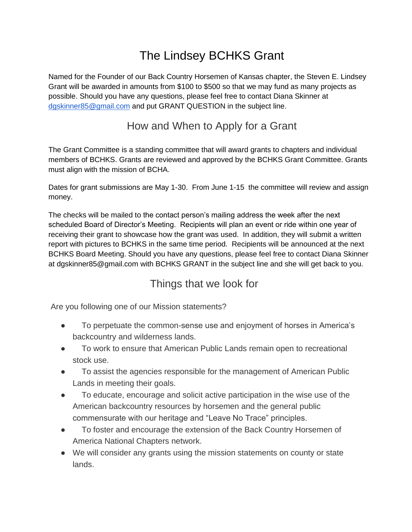## The Lindsey BCHKS Grant

Named for the Founder of our Back Country Horsemen of Kansas chapter, the Steven E. Lindsey Grant will be awarded in amounts from \$100 to \$500 so that we may fund as many projects as possible. Should you have any questions, please feel free to contact Diana Skinner at [dgskinner85@gmail.com](mailto:dgskinner85@gmail.com) and put GRANT QUESTION in the subject line.

## How and When to Apply for a Grant

The Grant Committee is a standing committee that will award grants to chapters and individual members of BCHKS. Grants are reviewed and approved by the BCHKS Grant Committee. Grants must align with the mission of BCHA.

Dates for grant submissions are May 1-30. From June 1-15 the committee will review and assign money.

The checks will be mailed to the contact person's mailing address the week after the next scheduled Board of Director's Meeting. Recipients will plan an event or ride within one year of receiving their grant to showcase how the grant was used. In addition, they will submit a written report with pictures to BCHKS in the same time period. Recipients will be announced at the next BCHKS Board Meeting. Should you have any questions, please feel free to contact Diana Skinner at dgskinner85@gmail.com with BCHKS GRANT in the subject line and she will get back to you.

## Things that we look for

Are you following one of our Mission statements?

- To perpetuate the common-sense use and enjoyment of horses in America's backcountry and wilderness lands.
- To work to ensure that American Public Lands remain open to recreational stock use.
- To assist the agencies responsible for the management of American Public Lands in meeting their goals.
- To educate, encourage and solicit active participation in the wise use of the American backcountry resources by horsemen and the general public commensurate with our heritage and "Leave No Trace" principles.
- To foster and encourage the extension of the Back Country Horsemen of America National Chapters network.
- We will consider any grants using the mission statements on county or state lands.